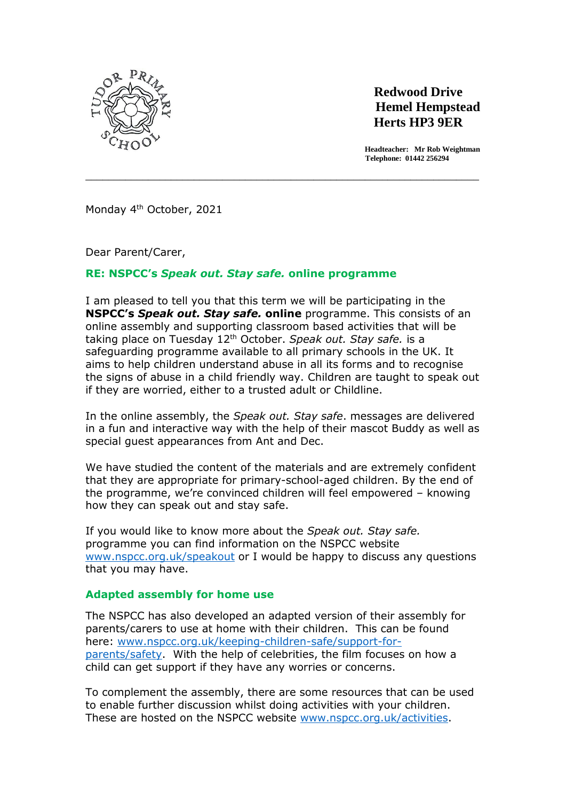

# **Redwood Drive Hemel Hempstead Herts HP3 9ER**

 **Headteacher: Mr Rob Weightman Telephone: 01442 256294** 

Monday 4<sup>th</sup> October, 2021

Dear Parent/Carer,

## **RE: NSPCC's** *Speak out. Stay safe.* **online programme**

I am pleased to tell you that this term we will be participating in the **NSPCC's** *Speak out. Stay safe.* **online** programme. This consists of an online assembly and supporting classroom based activities that will be taking place on Tuesday 12th October. *Speak out. Stay safe.* is a safeguarding programme available to all primary schools in the UK. It aims to help children understand abuse in all its forms and to recognise the signs of abuse in a child friendly way. Children are taught to speak out if they are worried, either to a trusted adult or Childline.

\_\_\_\_\_\_\_\_\_\_\_\_\_\_\_\_\_\_\_\_\_\_\_\_\_\_\_\_\_\_\_\_\_\_\_\_\_\_\_\_\_\_\_\_\_\_\_\_\_\_\_\_\_\_\_\_\_\_\_\_\_\_\_\_\_\_\_\_\_

In the online assembly, the *Speak out. Stay safe*. messages are delivered in a fun and interactive way with the help of their mascot Buddy as well as special guest appearances from Ant and Dec.

We have studied the content of the materials and are extremely confident that they are appropriate for primary-school-aged children. By the end of the programme, we're convinced children will feel empowered – knowing how they can speak out and stay safe.

If you would like to know more about the *Speak out. Stay safe.* programme you can find information on the NSPCC website [www.nspcc.org.uk/speakout](http://www.nspcc.org.uk/speakout) or I would be happy to discuss any questions that you may have.

## **Adapted assembly for home use**

The NSPCC has also developed an adapted version of their assembly for parents/carers to use at home with their children.This can be found here: [www.nspcc.org.uk/keeping-children-safe/support-for](http://www.nspcc.org.uk/keeping-children-safe/support-for-parents/safety)[parents/safety.](http://www.nspcc.org.uk/keeping-children-safe/support-for-parents/safety) With the help of celebrities, the film focuses on how a child can get support if they have any worries or concerns.

To complement the assembly, there are some resources that can be used to enable further discussion whilst doing activities with your children. These are hosted on the NSPCC website [www.nspcc.org.uk/activities.](http://www.nspcc.org.uk/activities)